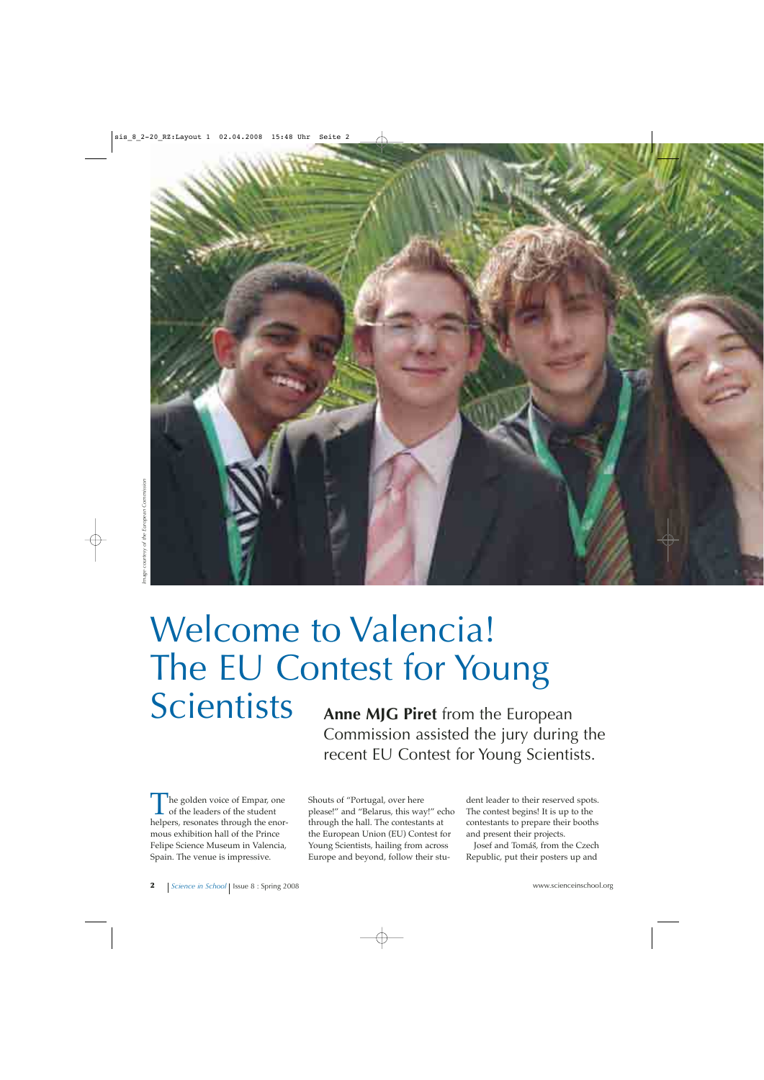

# Welcome to Valencia! The EU Contest for Young Scientists **Anne MJG Piret** from the European

Commission assisted the jury during the recent EU Contest for Young Scientists.

he golden voice of Empar, one of the leaders of the student helpers, resonates through the enormous exhibition hall of the Prince Felipe Science Museum in Valencia, Spain. The venue is impressive.

Shouts of "Portugal, over here please!" and "Belarus, this way!" echo through the hall. The contestants at the European Union (EU) Contest for Young Scientists, hailing from across Europe and beyond, follow their student leader to their reserved spots. The contest begins! It is up to the contestants to prepare their booths and present their projects.

Josef and Tomáš, from the Czech Republic, put their posters up and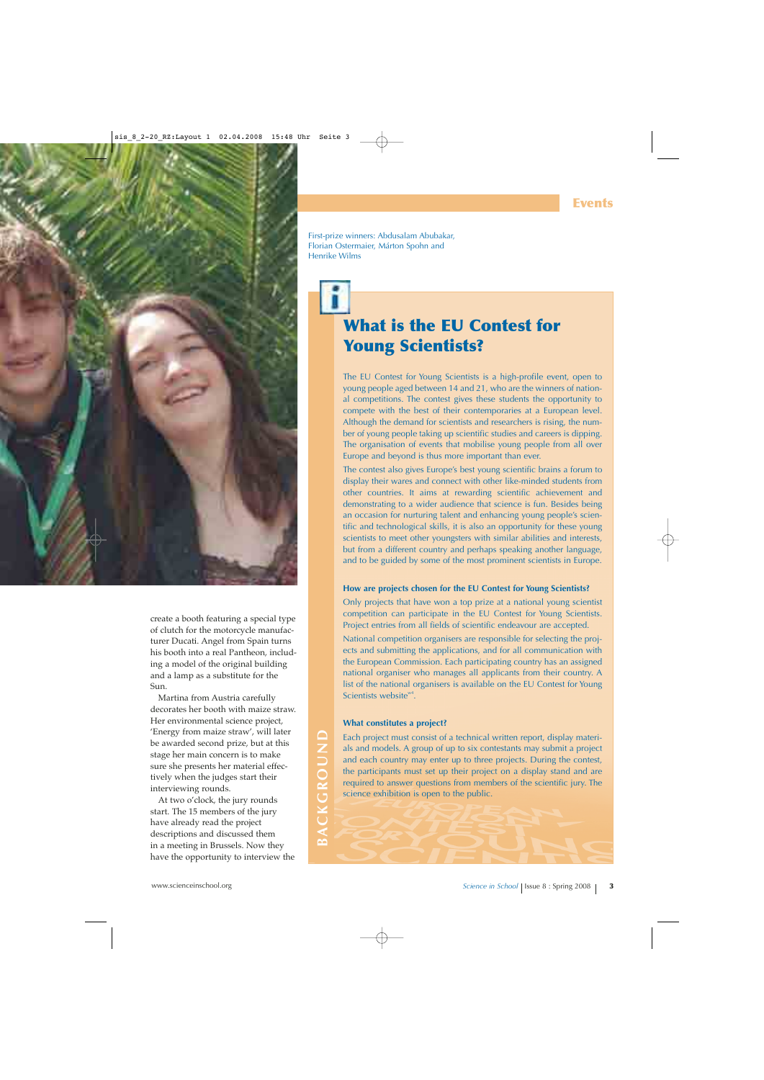

create a booth featuring a special type of clutch for the motorcycle manufacturer Ducati. Angel from Spain turns his booth into a real Pantheon, including a model of the original building and a lamp as a substitute for the Sun.

Martina from Austria carefully decorates her booth with maize straw. Her environmental science project, 'Energy from maize straw', will later be awarded second prize, but at this stage her main concern is to make sure she presents her material effectively when the judges start their interviewing rounds.

At two o'clock, the jury rounds start. The 15 members of the jury have already read the project descriptions and discussed them in a meeting in Brussels. Now they have the opportunity to interview the First-prize winners: Abdusalam Abubakar, Florian Ostermaier, Márton Spohn and Henrike Wilms

# **What is the EU Contest for Young Scientists?**

The EU Contest for Young Scientists is a high-profile event, open to young people aged between 14 and 21, who are the winners of national competitions. The contest gives these students the opportunity to compete with the best of their contemporaries at a European level. Although the demand for scientists and researchers is rising, the number of young people taking up scientific studies and careers is dipping. The organisation of events that mobilise young people from all over Europe and beyond is thus more important than ever.

The contest also gives Europe's best young scientific brains a forum to display their wares and connect with other like-minded students from other countries. It aims at rewarding scientific achievement and demonstrating to a wider audience that science is fun. Besides being an occasion for nurturing talent and enhancing young people's scientific and technological skills, it is also an opportunity for these young scientists to meet other youngsters with similar abilities and interests, but from a different country and perhaps speaking another language, and to be guided by some of the most prominent scientists in Europe.

### **How are projects chosen for the EU Contest for Young Scientists?**

Only projects that have won a top prize at a national young scientist competition can participate in the EU Contest for Young Scientists. Project entries from all fields of scientific endeavour are accepted.

National competition organisers are responsible for selecting the projects and submitting the applications, and for all communication with the European Commission. Each participating country has an assigned national organiser who manages all applicants from their country. A list of the national organisers is available on the EU Contest for Young Scientists website<sup>w4</sup>.

### **What constitutes a project?**

**BACKGROUND**

BACKGROUND

Each project must consist of a technical written report, display materials and models. A group of up to six contestants may submit a project and each country may enter up to three projects. During the contest, the participants must set up their project on a display stand and are required to answer questions from members of the scientific jury. The science exhibition is open to the public.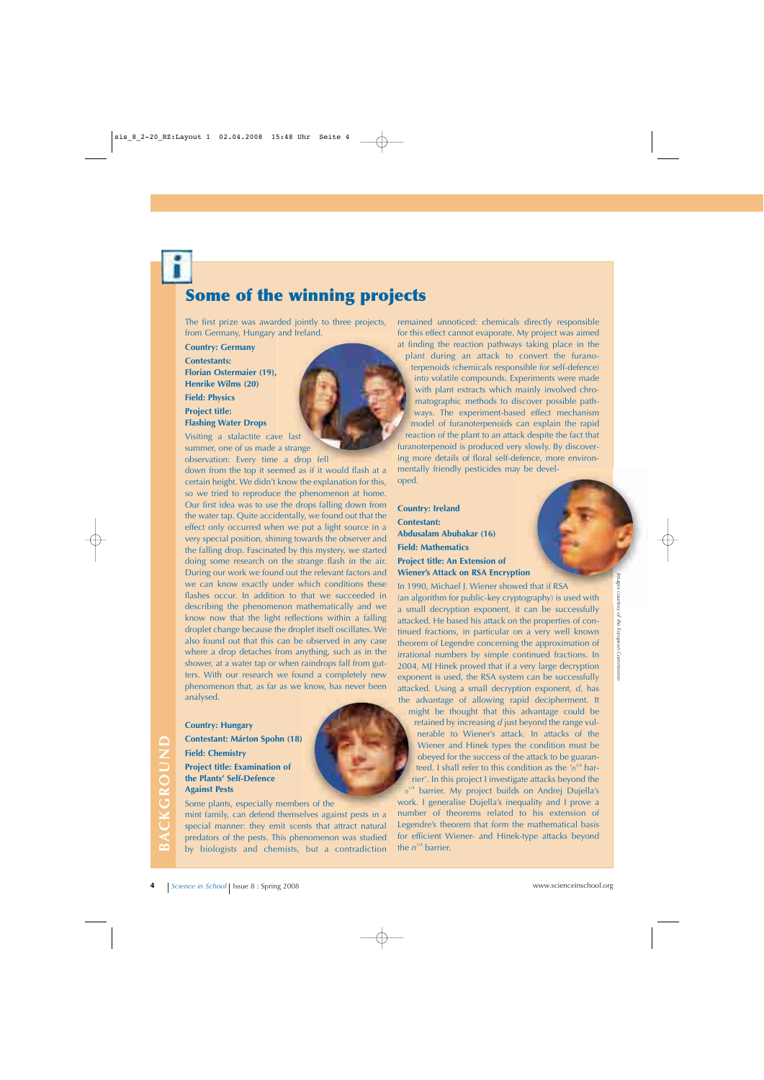# **Some of the winning projects**

The first prize was awarded jointly to three projects, from Germany, Hungary and Ireland.

**Country: Germany**

**Contestants: Florian Ostermaier (19), Henrike Wilms (20) Field: Physics Project title: Flashing Water Drops**

Visiting a stalactite cave last summer, one of us made a strange observation: Every time a drop fell

down from the top it seemed as if it would flash at a certain height. We didn't know the explanation for this, so we tried to reproduce the phenomenon at home. Our first idea was to use the drops falling down from the water tap. Quite accidentally, we found out that the effect only occurred when we put a light source in a very special position, shining towards the observer and the falling drop. Fascinated by this mystery, we started doing some research on the strange flash in the air. During our work we found out the relevant factors and we can know exactly under which conditions these flashes occur. In addition to that we succeeded in describing the phenomenon mathematically and we know now that the light reflections within a falling droplet change because the droplet itself oscillates. We also found out that this can be observed in any case where a drop detaches from anything, such as in the shower, at a water tap or when raindrops fall from gutters. With our research we found a completely new phenomenon that, as far as we know, has never been analysed.

### **Country: Hungary**

**Contestant: Márton Spohn (18) Field: Chemistry Project title: Examination of the Plants' Self-Defence Against Pests**

Some plants, especially members of the mint family, can defend themselves against pests in a special manner: they emit scents that attract natural predators of the pests. This phenomenon was studied by biologists and chemists, but a contradiction remained unnoticed: chemicals directly responsible for this effect cannot evaporate. My project was aimed at finding the reaction pathways taking place in the

plant during an attack to convert the furanoterpenoids (chemicals responsible for self-defence) into volatile compounds. Experiments were made with plant extracts which mainly involved chromatographic methods to discover possible pathways. The experiment-based effect mechanism model of furanoterpenoids can explain the rapid reaction of the plant to an attack despite the fact that furanoterpenoid is produced very slowly. By discovering more details of floral self-defence, more environmentally friendly pesticides may be developed.

**Country: Ireland Contestant: Abdusalam Abubakar (16) Field: Mathematics Project title: An Extension of**

**Wiener's Attack on RSA Encryption**

In 1990, Michael J. Wiener showed that if RSA (an algorithm for public-key cryptography) is used with a small decryption exponent, it can be successfully attacked. He based his attack on the properties of continued fractions, in particular on a very well known theorem of Legendre concerning the approximation of irrational numbers by simple continued fractions. In 2004, MJ Hinek proved that if a very large decryption exponent is used, the RSA system can be successfully attacked. Using a small decryption exponent, *d*, has the advantage of allowing rapid decipherment. It

might be thought that this advantage could be retained by increasing *d* just beyond the range vulnerable to Wiener's attack. In attacks of the Wiener and Hinek types the condition must be obeyed for the success of the attack to be guaranteed. I shall refer to this condition as the  $'n^{1/4}$  barrier'. In this project I investigate attacks beyond the

 $n^{1/4}$  barrier. My project builds on Andrej Dujella's work. I generalise Dujella's inequality and I prove a number of theorems related to his extension of Legendre's theorem that form the mathematical basis for efficient Wiener- and Hinek-type attacks beyond the  $n^{1/4}$  barrier.

Images courtesy of the European Commission *Images courtesy of the European Commission*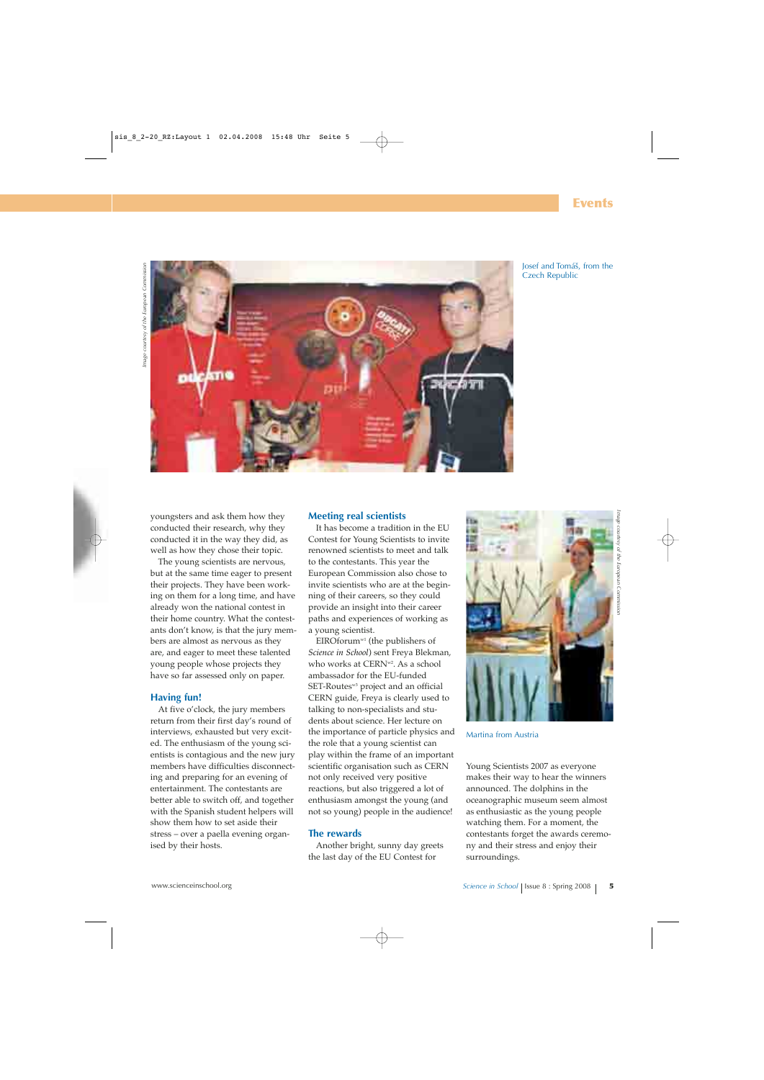

Josef and Tomáš, from the Czech Republic

youngsters and ask them how they conducted their research, why they conducted it in the way they did, as well as how they chose their topic.

The young scientists are nervous, but at the same time eager to present their projects. They have been working on them for a long time, and have already won the national contest in their home country. What the contestants don't know, is that the jury members are almost as nervous as they are, and eager to meet these talented young people whose projects they have so far assessed only on paper.

### **Having fun!**

At five o'clock, the jury members return from their first day's round of interviews, exhausted but very excited. The enthusiasm of the young scientists is contagious and the new jury members have difficulties disconnecting and preparing for an evening of entertainment. The contestants are better able to switch off, and together with the Spanish student helpers will show them how to set aside their stress – over a paella evening organised by their hosts.

### **Meeting real scientists**

It has become a tradition in the EU Contest for Young Scientists to invite renowned scientists to meet and talk to the contestants. This year the European Commission also chose to invite scientists who are at the beginning of their careers, so they could provide an insight into their career paths and experiences of working as a young scientist.

EIROforumw1 (the publishers of *Science in School*) sent Freya Blekman, who works at CERN<sup>w2</sup>. As a school ambassador for the EU-funded SET-Routes<sup>w3</sup> project and an official CERN guide, Freya is clearly used to talking to non-specialists and students about science. Her lecture on the importance of particle physics and the role that a young scientist can play within the frame of an important scientific organisation such as CERN not only received very positive reactions, but also triggered a lot of enthusiasm amongst the young (and not so young) people in the audience!

### **The rewards**

Another bright, sunny day greets the last day of the EU Contest for



Martina from Austria

Young Scientists 2007 as everyone makes their way to hear the winners announced. The dolphins in the oceanographic museum seem almost as enthusiastic as the young people watching them. For a moment, the contestants forget the awards ceremony and their stress and enjoy their surroundings.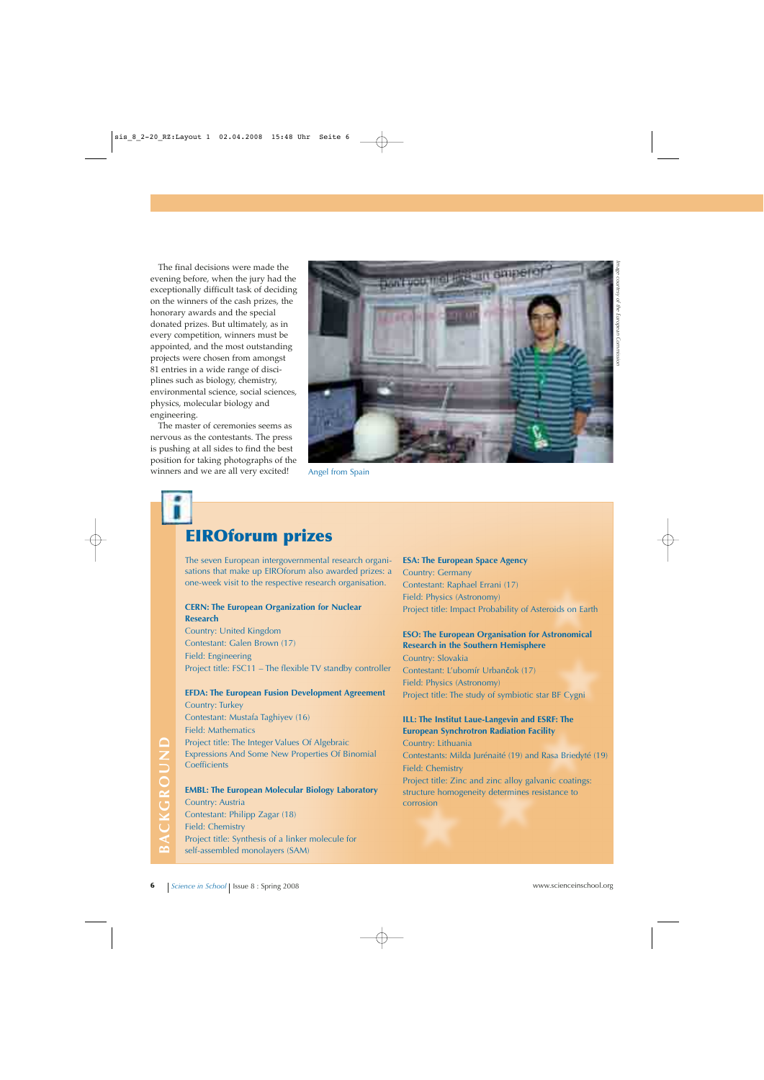The final decisions were made the evening before, when the jury had the exceptionally difficult task of deciding on the winners of the cash prizes, the honorary awards and the special donated prizes. But ultimately, as in every competition, winners must be appointed, and the most outstanding projects were chosen from amongst 81 entries in a wide range of disciplines such as biology, chemistry, environmental science, social sciences, physics, molecular biology and engineering.

The master of ceremonies seems as nervous as the contestants. The press is pushing at all sides to find the best position for taking photographs of the winners and we are all very excited!



Angel from Spain

# **EIROforum prizes**

The seven European intergovernmental research organisations that make up EIROforum also awarded prizes: a one-week visit to the respective research organisation.

### **CERN: The European Organization for Nuclear Research**

Country: United Kingdom Contestant: Galen Brown (17) Field: Engineering Project title: FSC11 – The flexible TV standby controller

### **EFDA: The European Fusion Development Agreement** Country: Turkey Contestant: Mustafa Taghiyev (16) Field: Mathematics

Project title: The Integer Values Of Algebraic Expressions And Some New Properties Of Binomial **Coefficients** 

**EXERCT:** The Integer Values Of Algebraic Country: Lithuania<br>
Expressions And Some New Properties Of Binomial Contestants: Milda Jurénaité (19) and Rasa Briedyté (19)<br>
Coefficients<br> **EMBL: The European Molecular Biology La EMBL: The European Molecular Biology Laboratory** Country: Austria Contestant: Philipp Zagar (18) Field: Chemistry Project title: Synthesis of a linker molecule for self-assembled monolayers (SAM)

**ESA: The European Space Agency** Country: Germany Contestant: Raphael Errani (17) Field: Physics (Astronomy) Project title: Impact Probability of Asteroids on Earth

### **ESO: The European Organisation for Astronomical Research in the Southern Hemisphere**

Country: Slovakia Contestant: L'ubomír Urbančok (17) Field: Physics (Astronomy) Project title: The study of symbiotic star BF Cygni

### **ILL: The Institut Laue-Langevin and ESRF: The European Synchrotron Radiation Facility**

Country: Lithuania Contestants: Milda Jurénaité (19) and Rasa Briedyté (19) Field: Chemistry Project title: Zinc and zinc alloy galvanic coatings: structure homogeneity determines resistance to corrosion